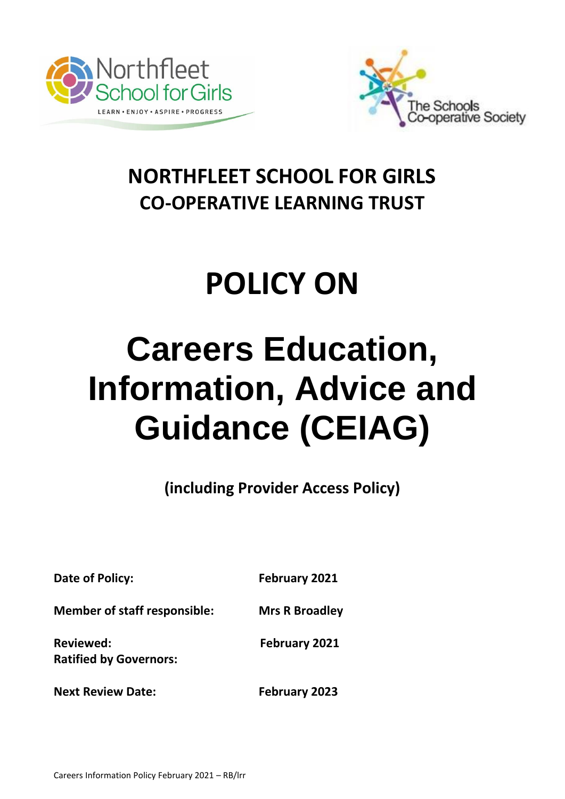



# **NORTHFLEET SCHOOL FOR GIRLS CO-OPERATIVE LEARNING TRUST**

# **POLICY ON**

# **Careers Education, Information, Advice and Guidance (CEIAG)**

**(including Provider Access Policy)**

**Date of Policy:** February 2021

**Member of staff responsible: Mrs R Broadley**

**Reviewed: February 2021**

**Ratified by Governors:** 

**Next Review Date: February 2023**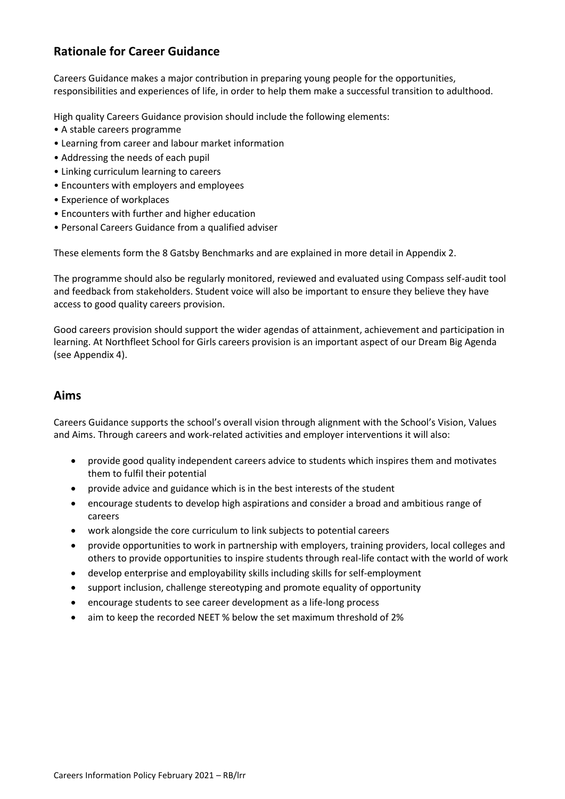#### **Rationale for Career Guidance**

Careers Guidance makes a major contribution in preparing young people for the opportunities, responsibilities and experiences of life, in order to help them make a successful transition to adulthood.

High quality Careers Guidance provision should include the following elements:

- A stable careers programme
- Learning from career and labour market information
- Addressing the needs of each pupil
- Linking curriculum learning to careers
- Encounters with employers and employees
- Experience of workplaces
- Encounters with further and higher education
- Personal Careers Guidance from a qualified adviser

These elements form the 8 Gatsby Benchmarks and are explained in more detail in Appendix 2.

The programme should also be regularly monitored, reviewed and evaluated using Compass self-audit tool and feedback from stakeholders. Student voice will also be important to ensure they believe they have access to good quality careers provision.

Good careers provision should support the wider agendas of attainment, achievement and participation in learning. At Northfleet School for Girls careers provision is an important aspect of our Dream Big Agenda (see Appendix 4).

#### **Aims**

Careers Guidance supports the school's overall vision through alignment with the School's Vision, Values and Aims. Through careers and work-related activities and employer interventions it will also:

- provide good quality independent careers advice to students which inspires them and motivates them to fulfil their potential
- provide advice and guidance which is in the best interests of the student
- encourage students to develop high aspirations and consider a broad and ambitious range of careers
- work alongside the core curriculum to link subjects to potential careers
- provide opportunities to work in partnership with employers, training providers, local colleges and others to provide opportunities to inspire students through real-life contact with the world of work
- develop enterprise and employability skills including skills for self-employment
- support inclusion, challenge stereotyping and promote equality of opportunity
- encourage students to see career development as a life-long process
- aim to keep the recorded NEET % below the set maximum threshold of 2%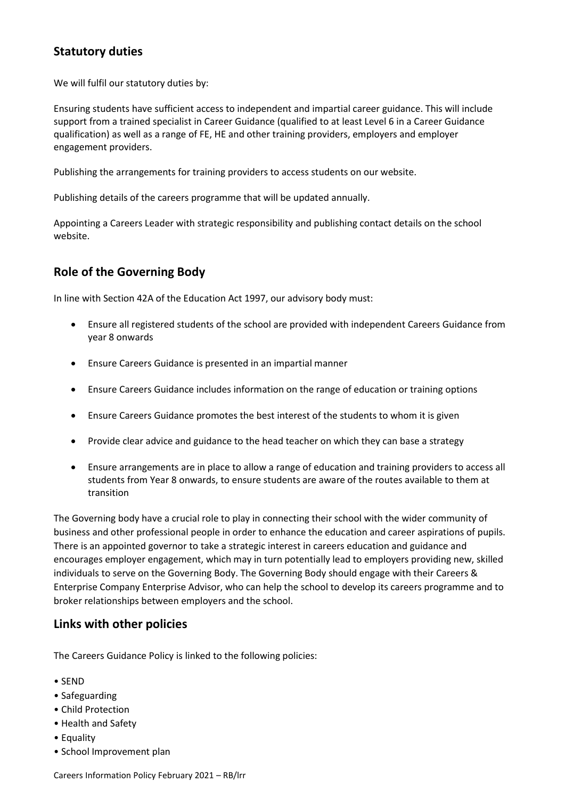#### **Statutory duties**

We will fulfil our statutory duties by:

Ensuring students have sufficient access to independent and impartial career guidance. This will include support from a trained specialist in Career Guidance (qualified to at least Level 6 in a Career Guidance qualification) as well as a range of FE, HE and other training providers, employers and employer engagement providers.

Publishing the arrangements for training providers to access students on our website.

Publishing details of the careers programme that will be updated annually.

Appointing a Careers Leader with strategic responsibility and publishing contact details on the school website.

#### **Role of the Governing Body**

In line with Section 42A of the Education Act 1997, our advisory body must:

- Ensure all registered students of the school are provided with independent Careers Guidance from year 8 onwards
- Ensure Careers Guidance is presented in an impartial manner
- Ensure Careers Guidance includes information on the range of education or training options
- Ensure Careers Guidance promotes the best interest of the students to whom it is given
- Provide clear advice and guidance to the head teacher on which they can base a strategy
- Ensure arrangements are in place to allow a range of education and training providers to access all students from Year 8 onwards, to ensure students are aware of the routes available to them at transition

The Governing body have a crucial role to play in connecting their school with the wider community of business and other professional people in order to enhance the education and career aspirations of pupils. There is an appointed governor to take a strategic interest in careers education and guidance and encourages employer engagement, which may in turn potentially lead to employers providing new, skilled individuals to serve on the Governing Body. The Governing Body should engage with their Careers & Enterprise Company Enterprise Advisor, who can help the school to develop its careers programme and to broker relationships between employers and the school.

#### **Links with other policies**

The Careers Guidance Policy is linked to the following policies:

- SEND
- Safeguarding
- Child Protection
- Health and Safety
- Equality
- School Improvement plan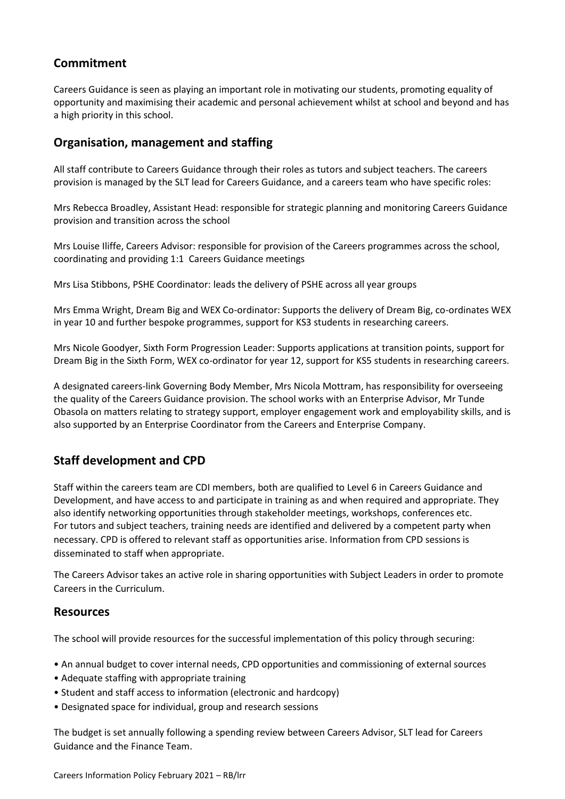#### **Commitment**

Careers Guidance is seen as playing an important role in motivating our students, promoting equality of opportunity and maximising their academic and personal achievement whilst at school and beyond and has a high priority in this school.

#### **Organisation, management and staffing**

All staff contribute to Careers Guidance through their roles as tutors and subject teachers. The careers provision is managed by the SLT lead for Careers Guidance, and a careers team who have specific roles:

Mrs Rebecca Broadley, Assistant Head: responsible for strategic planning and monitoring Careers Guidance provision and transition across the school

Mrs Louise Iliffe, Careers Advisor: responsible for provision of the Careers programmes across the school, coordinating and providing 1:1 Careers Guidance meetings

Mrs Lisa Stibbons, PSHE Coordinator: leads the delivery of PSHE across all year groups

Mrs Emma Wright, Dream Big and WEX Co-ordinator: Supports the delivery of Dream Big, co-ordinates WEX in year 10 and further bespoke programmes, support for KS3 students in researching careers.

Mrs Nicole Goodyer, Sixth Form Progression Leader: Supports applications at transition points, support for Dream Big in the Sixth Form, WEX co-ordinator for year 12, support for KS5 students in researching careers.

A designated careers-link Governing Body Member, Mrs Nicola Mottram, has responsibility for overseeing the quality of the Careers Guidance provision. The school works with an Enterprise Advisor, Mr Tunde Obasola on matters relating to strategy support, employer engagement work and employability skills, and is also supported by an Enterprise Coordinator from the Careers and Enterprise Company.

#### **Staff development and CPD**

Staff within the careers team are CDI members, both are qualified to Level 6 in Careers Guidance and Development, and have access to and participate in training as and when required and appropriate. They also identify networking opportunities through stakeholder meetings, workshops, conferences etc. For tutors and subject teachers, training needs are identified and delivered by a competent party when necessary. CPD is offered to relevant staff as opportunities arise. Information from CPD sessions is disseminated to staff when appropriate.

The Careers Advisor takes an active role in sharing opportunities with Subject Leaders in order to promote Careers in the Curriculum.

#### **Resources**

The school will provide resources for the successful implementation of this policy through securing:

- An annual budget to cover internal needs, CPD opportunities and commissioning of external sources
- Adequate staffing with appropriate training
- Student and staff access to information (electronic and hardcopy)
- Designated space for individual, group and research sessions

The budget is set annually following a spending review between Careers Advisor, SLT lead for Careers Guidance and the Finance Team.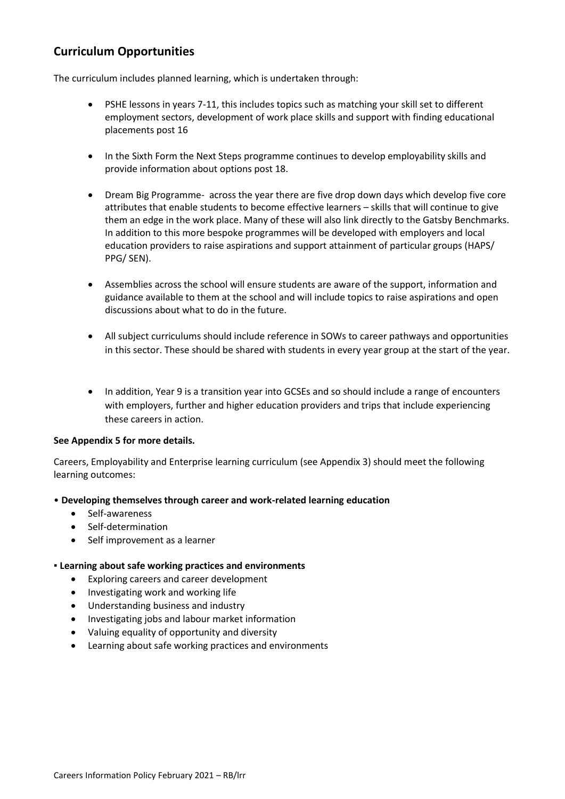#### **Curriculum Opportunities**

The curriculum includes planned learning, which is undertaken through:

- PSHE lessons in years 7-11, this includes topics such as matching your skill set to different employment sectors, development of work place skills and support with finding educational placements post 16
- In the Sixth Form the Next Steps programme continues to develop employability skills and provide information about options post 18.
- Dream Big Programme- across the year there are five drop down days which develop five core attributes that enable students to become effective learners – skills that will continue to give them an edge in the work place. Many of these will also link directly to the Gatsby Benchmarks. In addition to this more bespoke programmes will be developed with employers and local education providers to raise aspirations and support attainment of particular groups (HAPS/ PPG/ SEN).
- Assemblies across the school will ensure students are aware of the support, information and guidance available to them at the school and will include topics to raise aspirations and open discussions about what to do in the future.
- All subject curriculums should include reference in SOWs to career pathways and opportunities in this sector. These should be shared with students in every year group at the start of the year.
- In addition, Year 9 is a transition year into GCSEs and so should include a range of encounters with employers, further and higher education providers and trips that include experiencing these careers in action.

#### **See Appendix 5 for more details.**

Careers, Employability and Enterprise learning curriculum (see Appendix 3) should meet the following learning outcomes:

#### • **Developing themselves through career and work-related learning education**

- Self-awareness
- Self-determination
- Self improvement as a learner

#### **▪ Learning about safe working practices and environments**

- Exploring careers and career development
- Investigating work and working life
- Understanding business and industry
- Investigating jobs and labour market information
- Valuing equality of opportunity and diversity
- Learning about safe working practices and environments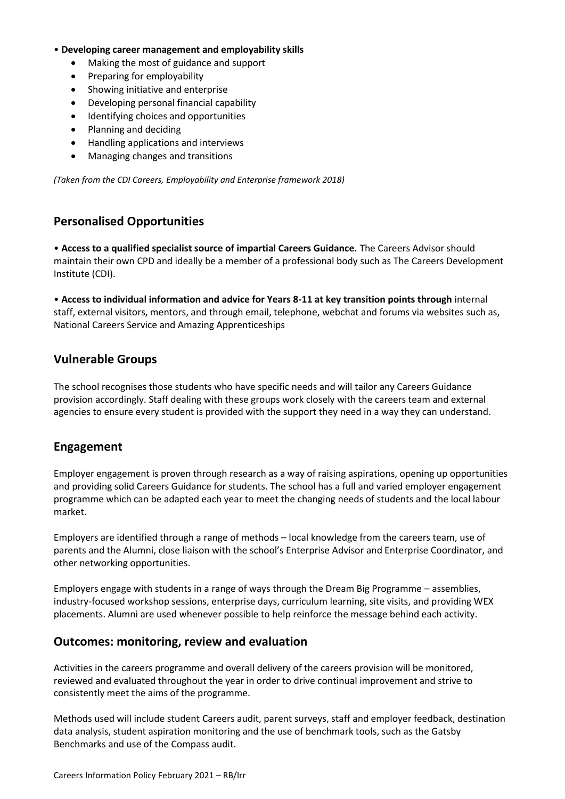#### • **Developing career management and employability skills**

- Making the most of guidance and support
- Preparing for employability
- Showing initiative and enterprise
- Developing personal financial capability
- Identifying choices and opportunities
- Planning and deciding
- Handling applications and interviews
- Managing changes and transitions

*(Taken from the CDI Careers, Employability and Enterprise framework 2018)*

#### **Personalised Opportunities**

• **Access to a qualified specialist source of impartial Careers Guidance.** The Careers Advisor should maintain their own CPD and ideally be a member of a professional body such as The Careers Development Institute (CDI).

• **Access to individual information and advice for Years 8-11 at key transition points through** internal staff, external visitors, mentors, and through email, telephone, webchat and forums via websites such as, National Careers Service and Amazing Apprenticeships

#### **Vulnerable Groups**

The school recognises those students who have specific needs and will tailor any Careers Guidance provision accordingly. Staff dealing with these groups work closely with the careers team and external agencies to ensure every student is provided with the support they need in a way they can understand.

#### **Engagement**

Employer engagement is proven through research as a way of raising aspirations, opening up opportunities and providing solid Careers Guidance for students. The school has a full and varied employer engagement programme which can be adapted each year to meet the changing needs of students and the local labour market.

Employers are identified through a range of methods – local knowledge from the careers team, use of parents and the Alumni, close liaison with the school's Enterprise Advisor and Enterprise Coordinator, and other networking opportunities.

Employers engage with students in a range of ways through the Dream Big Programme – assemblies, industry-focused workshop sessions, enterprise days, curriculum learning, site visits, and providing WEX placements. Alumni are used whenever possible to help reinforce the message behind each activity.

#### **Outcomes: monitoring, review and evaluation**

Activities in the careers programme and overall delivery of the careers provision will be monitored, reviewed and evaluated throughout the year in order to drive continual improvement and strive to consistently meet the aims of the programme.

Methods used will include student Careers audit, parent surveys, staff and employer feedback, destination data analysis, student aspiration monitoring and the use of benchmark tools, such as the Gatsby Benchmarks and use of the Compass audit.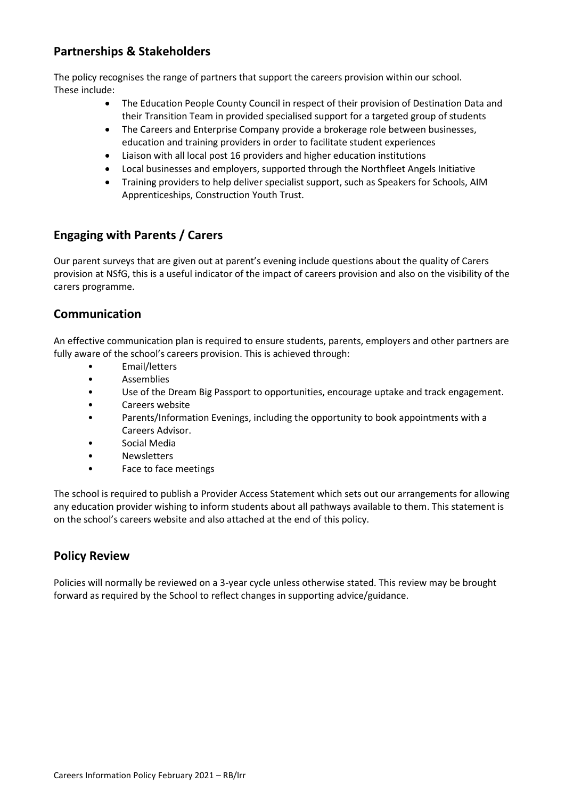#### **Partnerships & Stakeholders**

The policy recognises the range of partners that support the careers provision within our school. These include:

- The Education People County Council in respect of their provision of Destination Data and their Transition Team in provided specialised support for a targeted group of students
- The Careers and Enterprise Company provide a brokerage role between businesses, education and training providers in order to facilitate student experiences
- Liaison with all local post 16 providers and higher education institutions
- Local businesses and employers, supported through the Northfleet Angels Initiative
- Training providers to help deliver specialist support, such as Speakers for Schools, AIM Apprenticeships, Construction Youth Trust.

#### **Engaging with Parents / Carers**

Our parent surveys that are given out at parent's evening include questions about the quality of Carers provision at NSfG, this is a useful indicator of the impact of careers provision and also on the visibility of the carers programme.

#### **Communication**

An effective communication plan is required to ensure students, parents, employers and other partners are fully aware of the school's careers provision. This is achieved through:

- Email/letters
- Assemblies
- Use of the Dream Big Passport to opportunities, encourage uptake and track engagement.
- Careers website
- Parents/Information Evenings, including the opportunity to book appointments with a Careers Advisor.
- Social Media
- **Newsletters**
- Face to face meetings

The school is required to publish a Provider Access Statement which sets out our arrangements for allowing any education provider wishing to inform students about all pathways available to them. This statement is on the school's careers website and also attached at the end of this policy.

#### **Policy Review**

Policies will normally be reviewed on a 3-year cycle unless otherwise stated. This review may be brought forward as required by the School to reflect changes in supporting advice/guidance.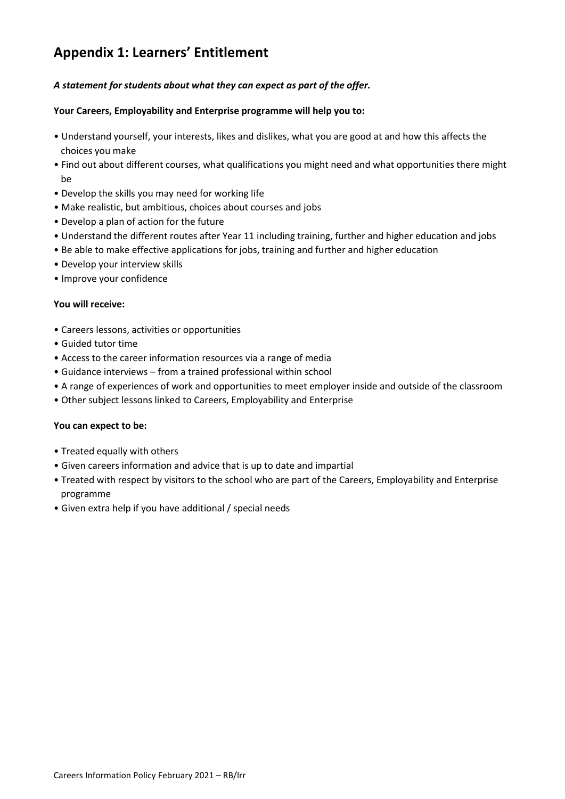# **Appendix 1: Learners' Entitlement**

#### *A statement for students about what they can expect as part of the offer.*

#### **Your Careers, Employability and Enterprise programme will help you to:**

- Understand yourself, your interests, likes and dislikes, what you are good at and how this affects the choices you make
- Find out about different courses, what qualifications you might need and what opportunities there might be
- Develop the skills you may need for working life
- Make realistic, but ambitious, choices about courses and jobs
- Develop a plan of action for the future
- Understand the different routes after Year 11 including training, further and higher education and jobs
- Be able to make effective applications for jobs, training and further and higher education
- Develop your interview skills
- Improve your confidence

#### **You will receive:**

- Careers lessons, activities or opportunities
- Guided tutor time
- Access to the career information resources via a range of media
- Guidance interviews from a trained professional within school
- A range of experiences of work and opportunities to meet employer inside and outside of the classroom
- Other subject lessons linked to Careers, Employability and Enterprise

#### **You can expect to be:**

- Treated equally with others
- Given careers information and advice that is up to date and impartial
- Treated with respect by visitors to the school who are part of the Careers, Employability and Enterprise programme
- Given extra help if you have additional / special needs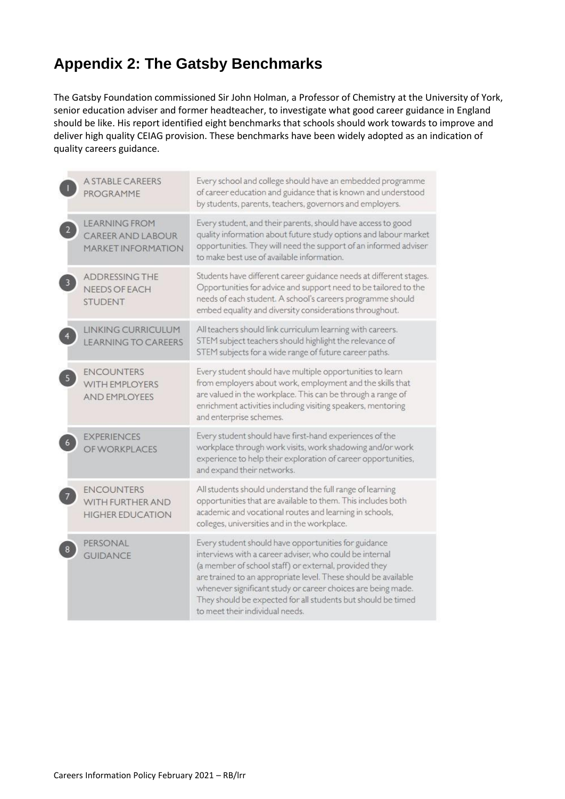# **Appendix 2: The Gatsby Benchmarks**

The Gatsby Foundation commissioned Sir John Holman, a Professor of Chemistry at the University of York, senior education adviser and former headteacher, to investigate what good career guidance in England should be like. His report identified eight benchmarks that schools should work towards to improve and deliver high quality CEIAG provision. These benchmarks have been widely adopted as an indication of quality careers guidance.

|                | <b>A STABLE CAREERS</b><br>PROGRAMME                                          | Every school and college should have an embedded programme<br>of career education and guidance that is known and understood<br>by students, parents, teachers, governors and employers.                                                                                                                                                                                                                       |
|----------------|-------------------------------------------------------------------------------|---------------------------------------------------------------------------------------------------------------------------------------------------------------------------------------------------------------------------------------------------------------------------------------------------------------------------------------------------------------------------------------------------------------|
| $\overline{2}$ | <b>LEARNING FROM</b><br><b>CAREER AND LABOUR</b><br><b>MARKET INFORMATION</b> | Every student, and their parents, should have access to good<br>quality information about future study options and labour market<br>opportunities. They will need the support of an informed adviser<br>to make best use of available information.                                                                                                                                                            |
|                | <b>ADDRESSING THE</b><br><b>NEEDS OF EACH</b><br><b>STUDENT</b>               | Students have different career guidance needs at different stages.<br>Opportunities for advice and support need to be tailored to the<br>needs of each student. A school's careers programme should<br>embed equality and diversity considerations throughout.                                                                                                                                                |
|                | LINKING CURRICULUM<br><b>LEARNING TO CAREERS</b>                              | All teachers should link curriculum learning with careers.<br>STEM subject teachers should highlight the relevance of<br>STEM subjects for a wide range of future career paths.                                                                                                                                                                                                                               |
|                | <b>ENCOUNTERS</b><br>WITH EMPLOYERS<br><b>AND EMPLOYEES</b>                   | Every student should have multiple opportunities to learn<br>from employers about work, employment and the skills that<br>are valued in the workplace. This can be through a range of<br>enrichment activities including visiting speakers, mentoring<br>and enterprise schemes.                                                                                                                              |
|                | <b>EXPERIENCES</b><br>OF WORKPLACES                                           | Every student should have first-hand experiences of the<br>workplace through work visits, work shadowing and/or work<br>experience to help their exploration of career opportunities,<br>and expand their networks.                                                                                                                                                                                           |
|                | <b>ENCOUNTERS</b><br>WITH FURTHER AND<br><b>HIGHER EDUCATION</b>              | All students should understand the full range of learning<br>opportunities that are available to them. This includes both<br>academic and vocational routes and learning in schools,<br>colleges, universities and in the workplace.                                                                                                                                                                          |
|                | PERSONAL<br><b>GUIDANCE</b>                                                   | Every student should have opportunities for guidance<br>interviews with a career adviser, who could be internal<br>(a member of school staff) or external, provided they<br>are trained to an appropriate level. These should be available<br>whenever significant study or career choices are being made.<br>They should be expected for all students but should be timed<br>to meet their individual needs. |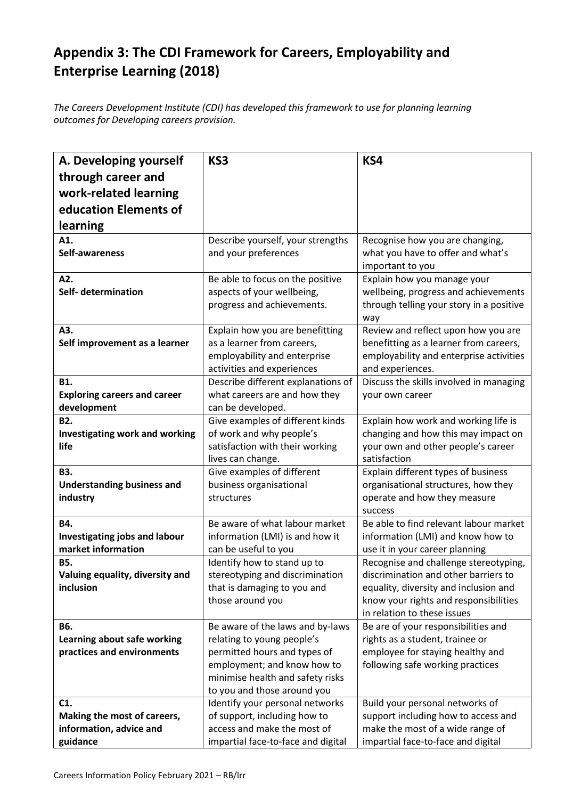# **Appendix 3: The CDI Framework for Careers, Employability and Enterprise Learning (2018)**

*The Careers Development Institute (CDI) has developed this framework to use for planning learning outcomes for Developing careers provision.* 

| A. Developing yourself                        | KS3                                                             | KS4                                                                            |
|-----------------------------------------------|-----------------------------------------------------------------|--------------------------------------------------------------------------------|
| through career and                            |                                                                 |                                                                                |
| work-related learning                         |                                                                 |                                                                                |
| education Elements of                         |                                                                 |                                                                                |
| learning                                      |                                                                 |                                                                                |
| A1.                                           | Describe yourself, your strengths                               | Recognise how you are changing,                                                |
| Self-awareness                                | and your preferences                                            | what you have to offer and what's                                              |
|                                               |                                                                 | important to you                                                               |
| A2.                                           | Be able to focus on the positive                                | Explain how you manage your                                                    |
| Self- determination                           | aspects of your wellbeing,                                      | wellbeing, progress and achievements                                           |
|                                               | progress and achievements.                                      | through telling your story in a positive                                       |
|                                               |                                                                 | way                                                                            |
| A3.<br>Self improvement as a learner          | Explain how you are benefitting<br>as a learner from careers,   | Review and reflect upon how you are<br>benefitting as a learner from careers,  |
|                                               | employability and enterprise                                    | employability and enterprise activities                                        |
|                                               | activities and experiences                                      | and experiences.                                                               |
| B1.                                           | Describe different explanations of                              | Discuss the skills involved in managing                                        |
| <b>Exploring careers and career</b>           | what careers are and how they                                   | your own career                                                                |
| development                                   | can be developed.                                               |                                                                                |
| B <sub>2</sub> .                              | Give examples of different kinds                                | Explain how work and working life is                                           |
| <b>Investigating work and working</b>         | of work and why people's                                        | changing and how this may impact on                                            |
| life                                          | satisfaction with their working                                 | your own and other people's career                                             |
| B3.                                           | lives can change.<br>Give examples of different                 | satisfaction<br>Explain different types of business                            |
| <b>Understanding business and</b>             | business organisational                                         | organisational structures, how they                                            |
| industry                                      | structures                                                      | operate and how they measure                                                   |
|                                               |                                                                 | success                                                                        |
| B4.                                           | Be aware of what labour market                                  | Be able to find relevant labour market                                         |
| Investigating jobs and labour                 | information (LMI) is and how it                                 | information (LMI) and know how to                                              |
| market information                            | can be useful to you                                            | use it in your career planning                                                 |
| <b>B5.</b>                                    | Identify how to stand up to                                     | Recognise and challenge stereotyping,                                          |
| Valuing equality, diversity and               | stereotyping and discrimination                                 | discrimination and other barriers to                                           |
| inclusion                                     | that is damaging to you and<br>those around you                 | equality, diversity and inclusion and<br>know your rights and responsibilities |
|                                               |                                                                 | in relation to these issues                                                    |
| <b>B6.</b>                                    | Be aware of the laws and by-laws                                | Be are of your responsibilities and                                            |
| Learning about safe working                   | relating to young people's                                      | rights as a student, trainee or                                                |
| practices and environments                    | permitted hours and types of                                    | employee for staying healthy and                                               |
|                                               | employment; and know how to                                     | following safe working practices                                               |
|                                               | minimise health and safety risks                                |                                                                                |
|                                               | to you and those around you                                     |                                                                                |
| C <sub>1</sub><br>Making the most of careers, | Identify your personal networks<br>of support, including how to | Build your personal networks of<br>support including how to access and         |
| information, advice and                       | access and make the most of                                     | make the most of a wide range of                                               |
| guidance                                      | impartial face-to-face and digital                              | impartial face-to-face and digital                                             |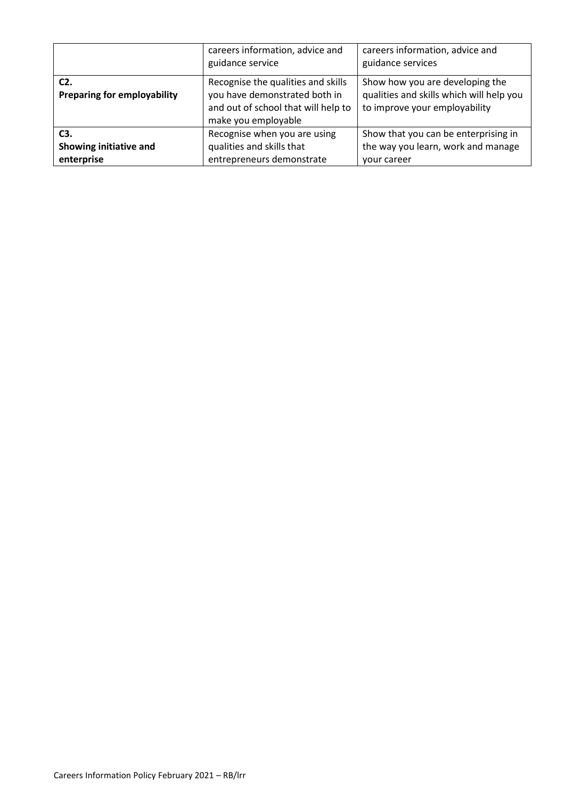|                                              | careers information, advice and<br>guidance service                                                                               | careers information, advice and<br>guidance services                                                         |
|----------------------------------------------|-----------------------------------------------------------------------------------------------------------------------------------|--------------------------------------------------------------------------------------------------------------|
| $C2$ .<br><b>Preparing for employability</b> | Recognise the qualities and skills<br>you have demonstrated both in<br>and out of school that will help to<br>make you employable | Show how you are developing the<br>qualities and skills which will help you<br>to improve your employability |
| C <sub>3</sub> .                             | Recognise when you are using                                                                                                      | Show that you can be enterprising in                                                                         |
| Showing initiative and                       | qualities and skills that                                                                                                         | the way you learn, work and manage                                                                           |
| enterprise                                   | entrepreneurs demonstrate                                                                                                         | your career                                                                                                  |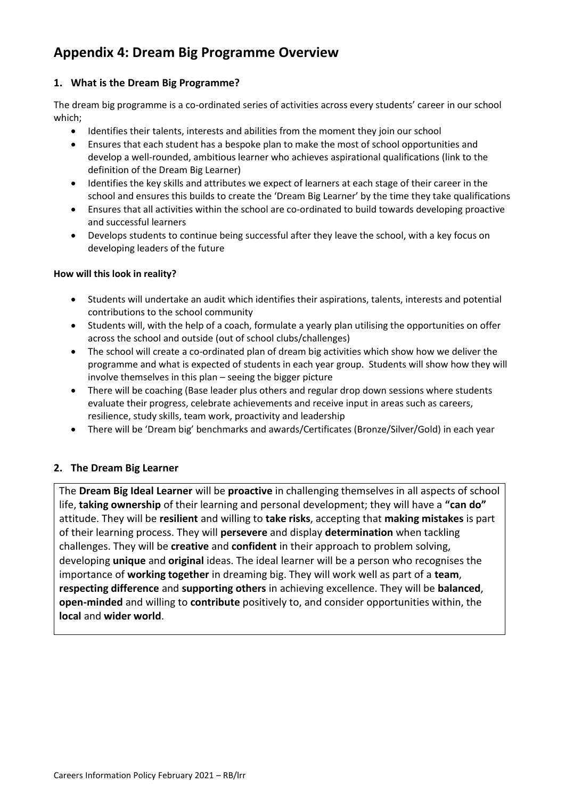# **Appendix 4: Dream Big Programme Overview**

#### **1. What is the Dream Big Programme?**

The dream big programme is a co-ordinated series of activities across every students' career in our school which;

- Identifies their talents, interests and abilities from the moment they join our school
- Ensures that each student has a bespoke plan to make the most of school opportunities and develop a well-rounded, ambitious learner who achieves aspirational qualifications (link to the definition of the Dream Big Learner)
- Identifies the key skills and attributes we expect of learners at each stage of their career in the school and ensures this builds to create the 'Dream Big Learner' by the time they take qualifications
- Ensures that all activities within the school are co-ordinated to build towards developing proactive and successful learners
- Develops students to continue being successful after they leave the school, with a key focus on developing leaders of the future

#### **How will this look in reality?**

- Students will undertake an audit which identifies their aspirations, talents, interests and potential contributions to the school community
- Students will, with the help of a coach, formulate a yearly plan utilising the opportunities on offer across the school and outside (out of school clubs/challenges)
- The school will create a co-ordinated plan of dream big activities which show how we deliver the programme and what is expected of students in each year group. Students will show how they will involve themselves in this plan – seeing the bigger picture
- There will be coaching (Base leader plus others and regular drop down sessions where students evaluate their progress, celebrate achievements and receive input in areas such as careers, resilience, study skills, team work, proactivity and leadership
- There will be 'Dream big' benchmarks and awards/Certificates (Bronze/Silver/Gold) in each year

#### **2. The Dream Big Learner**

The **Dream Big Ideal Learner** will be **proactive** in challenging themselves in all aspects of school life, **taking ownership** of their learning and personal development; they will have a **"can do"** attitude. They will be **resilient** and willing to **take risks**, accepting that **making mistakes** is part of their learning process. They will **persevere** and display **determination** when tackling challenges. They will be **creative** and **confident** in their approach to problem solving, developing **unique** and **original** ideas. The ideal learner will be a person who recognises the importance of **working together** in dreaming big. They will work well as part of a **team**, **respecting difference** and **supporting others** in achieving excellence. They will be **balanced**, **open-minded** and willing to **contribute** positively to, and consider opportunities within, the **local** and **wider world**.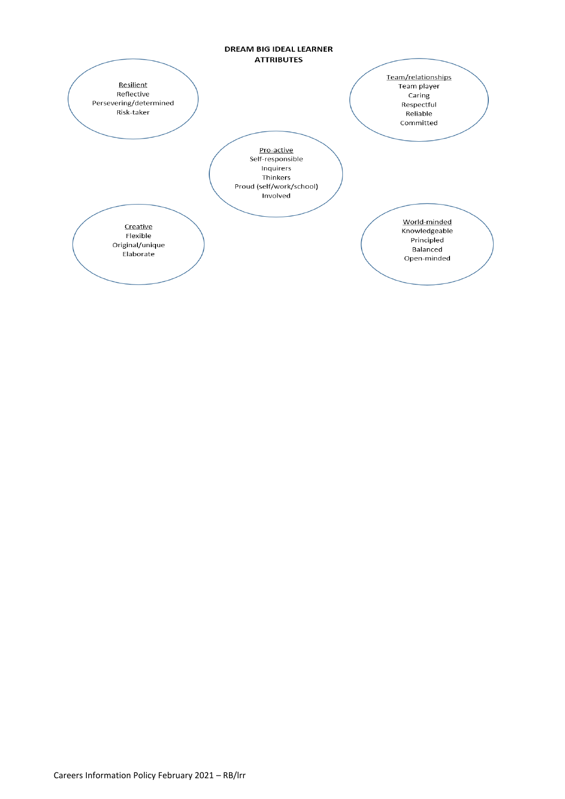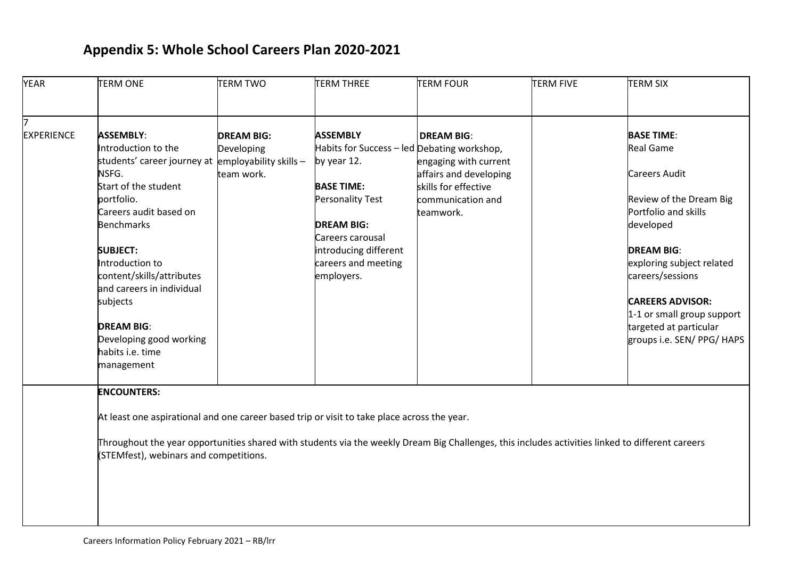# **Appendix 5: Whole School Careers Plan 2020-2021**

| <b>YEAR</b>       | <b>TERM ONE</b>                                                                                                                                  | <b>TERM TWO</b>   | <b>TERM THREE</b>                           | <b>TERM FOUR</b>       | <b>TERM FIVE</b> | <b>TERM SIX</b>            |  |  |
|-------------------|--------------------------------------------------------------------------------------------------------------------------------------------------|-------------------|---------------------------------------------|------------------------|------------------|----------------------------|--|--|
|                   |                                                                                                                                                  |                   |                                             |                        |                  |                            |  |  |
| <b>EXPERIENCE</b> | <b>ASSEMBLY:</b>                                                                                                                                 | <b>DREAM BIG:</b> | <b>ASSEMBLY</b>                             | <b>DREAM BIG:</b>      |                  | <b>BASE TIME:</b>          |  |  |
|                   | Introduction to the                                                                                                                              | Developing        | Habits for Success - led Debating workshop, |                        |                  | <b>Real Game</b>           |  |  |
|                   | students' career journey at employability skills -                                                                                               |                   | by year 12.                                 | engaging with current  |                  |                            |  |  |
|                   | NSFG.                                                                                                                                            | team work.        |                                             | affairs and developing |                  | <b>Careers Audit</b>       |  |  |
|                   | Start of the student                                                                                                                             |                   | <b>BASE TIME:</b>                           | skills for effective   |                  |                            |  |  |
|                   | portfolio.                                                                                                                                       |                   | <b>Personality Test</b>                     | communication and      |                  | Review of the Dream Big    |  |  |
|                   | Careers audit based on                                                                                                                           |                   |                                             | teamwork.              |                  | Portfolio and skills       |  |  |
|                   | <b>Benchmarks</b>                                                                                                                                |                   | <b>DREAM BIG:</b>                           |                        |                  | developed                  |  |  |
|                   |                                                                                                                                                  |                   | Careers carousal                            |                        |                  |                            |  |  |
|                   | <b>SUBJECT:</b>                                                                                                                                  |                   | introducing different                       |                        |                  | <b>DREAM BIG:</b>          |  |  |
|                   | Introduction to                                                                                                                                  |                   | careers and meeting                         |                        |                  | exploring subject related  |  |  |
|                   | content/skills/attributes                                                                                                                        |                   | employers.                                  |                        |                  | careers/sessions           |  |  |
|                   | and careers in individual                                                                                                                        |                   |                                             |                        |                  |                            |  |  |
|                   | subjects                                                                                                                                         |                   |                                             |                        |                  | <b>CAREERS ADVISOR:</b>    |  |  |
|                   |                                                                                                                                                  |                   |                                             |                        |                  | 1-1 or small group support |  |  |
|                   | <b>DREAM BIG:</b>                                                                                                                                |                   |                                             |                        |                  | targeted at particular     |  |  |
|                   | Developing good working                                                                                                                          |                   |                                             |                        |                  | groups i.e. SEN/ PPG/ HAPS |  |  |
|                   | habits i.e. time                                                                                                                                 |                   |                                             |                        |                  |                            |  |  |
|                   | management                                                                                                                                       |                   |                                             |                        |                  |                            |  |  |
|                   | <b>ENCOUNTERS:</b>                                                                                                                               |                   |                                             |                        |                  |                            |  |  |
|                   | At least one aspirational and one career based trip or visit to take place across the year.                                                      |                   |                                             |                        |                  |                            |  |  |
|                   |                                                                                                                                                  |                   |                                             |                        |                  |                            |  |  |
|                   | Throughout the year opportunities shared with students via the weekly Dream Big Challenges, this includes activities linked to different careers |                   |                                             |                        |                  |                            |  |  |
|                   | (STEMfest), webinars and competitions.                                                                                                           |                   |                                             |                        |                  |                            |  |  |
|                   |                                                                                                                                                  |                   |                                             |                        |                  |                            |  |  |
|                   |                                                                                                                                                  |                   |                                             |                        |                  |                            |  |  |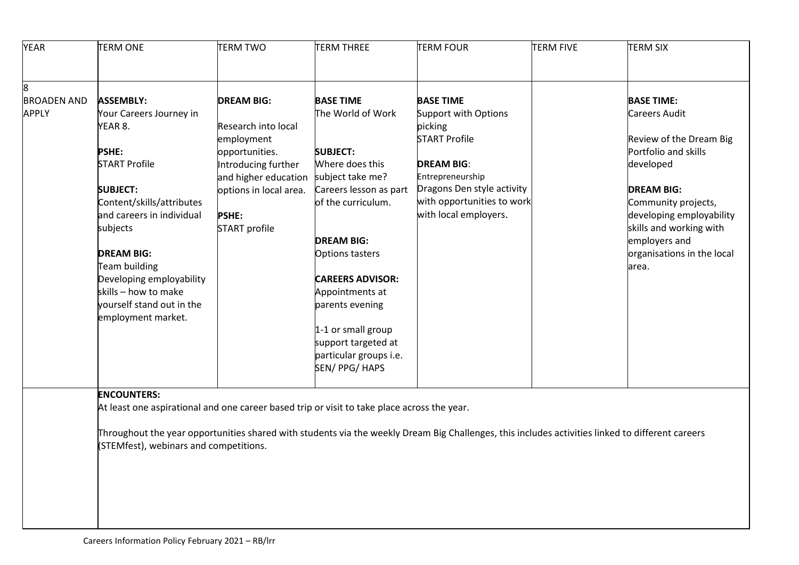| <b>YEAR</b>        | <b>TERM ONE</b>                                                                             | <b>TERM TWO</b>        | <b>TERM THREE</b>       | <b>TERM FOUR</b>                                                                                                                                 | <b>TERM FIVE</b> | <b>TERM SIX</b>            |
|--------------------|---------------------------------------------------------------------------------------------|------------------------|-------------------------|--------------------------------------------------------------------------------------------------------------------------------------------------|------------------|----------------------------|
| 8                  |                                                                                             |                        |                         |                                                                                                                                                  |                  |                            |
| <b>BROADEN AND</b> | <b>ASSEMBLY:</b>                                                                            | <b>DREAM BIG:</b>      | <b>BASE TIME</b>        | <b>BASE TIME</b>                                                                                                                                 |                  | <b>BASE TIME:</b>          |
| <b>APPLY</b>       | Your Careers Journey in                                                                     |                        | The World of Work       | <b>Support with Options</b>                                                                                                                      |                  | <b>Careers Audit</b>       |
|                    | YEAR 8.                                                                                     | Research into local    |                         | picking                                                                                                                                          |                  |                            |
|                    |                                                                                             | employment             |                         | <b>START Profile</b>                                                                                                                             |                  | Review of the Dream Big    |
|                    | <b>PSHE:</b>                                                                                | opportunities.         | <b>SUBJECT:</b>         |                                                                                                                                                  |                  | Portfolio and skills       |
|                    | <b>START Profile</b>                                                                        | Introducing further    | Where does this         | <b>DREAM BIG:</b>                                                                                                                                |                  | developed                  |
|                    |                                                                                             | and higher education   | subject take me?        | Entrepreneurship                                                                                                                                 |                  |                            |
|                    | <b>SUBJECT:</b>                                                                             | options in local area. | Careers lesson as part  | Dragons Den style activity                                                                                                                       |                  | <b>DREAM BIG:</b>          |
|                    | Content/skills/attributes                                                                   |                        | of the curriculum.      | with opportunities to work                                                                                                                       |                  | Community projects,        |
|                    | and careers in individual                                                                   | <b>PSHE:</b>           |                         | with local employers.                                                                                                                            |                  | developing employability   |
|                    | subjects                                                                                    | START profile          |                         |                                                                                                                                                  |                  | skills and working with    |
|                    |                                                                                             |                        | <b>DREAM BIG:</b>       |                                                                                                                                                  |                  | employers and              |
|                    | <b>DREAM BIG:</b>                                                                           |                        | Options tasters         |                                                                                                                                                  |                  | organisations in the local |
|                    | Team building<br>Developing employability                                                   |                        | <b>CAREERS ADVISOR:</b> |                                                                                                                                                  |                  | area.                      |
|                    | skills - how to make                                                                        |                        | Appointments at         |                                                                                                                                                  |                  |                            |
|                    | yourself stand out in the                                                                   |                        | parents evening         |                                                                                                                                                  |                  |                            |
|                    | employment market.                                                                          |                        |                         |                                                                                                                                                  |                  |                            |
|                    |                                                                                             |                        | 1-1 or small group      |                                                                                                                                                  |                  |                            |
|                    |                                                                                             |                        | support targeted at     |                                                                                                                                                  |                  |                            |
|                    |                                                                                             |                        | particular groups i.e.  |                                                                                                                                                  |                  |                            |
|                    |                                                                                             |                        | SEN/ PPG/ HAPS          |                                                                                                                                                  |                  |                            |
|                    | <b>ENCOUNTERS:</b>                                                                          |                        |                         |                                                                                                                                                  |                  |                            |
|                    | At least one aspirational and one career based trip or visit to take place across the year. |                        |                         |                                                                                                                                                  |                  |                            |
|                    | (STEMfest), webinars and competitions.                                                      |                        |                         | Throughout the year opportunities shared with students via the weekly Dream Big Challenges, this includes activities linked to different careers |                  |                            |
|                    |                                                                                             |                        |                         |                                                                                                                                                  |                  |                            |
|                    |                                                                                             |                        |                         |                                                                                                                                                  |                  |                            |
|                    |                                                                                             |                        |                         |                                                                                                                                                  |                  |                            |
|                    |                                                                                             |                        |                         |                                                                                                                                                  |                  |                            |
|                    |                                                                                             |                        |                         |                                                                                                                                                  |                  |                            |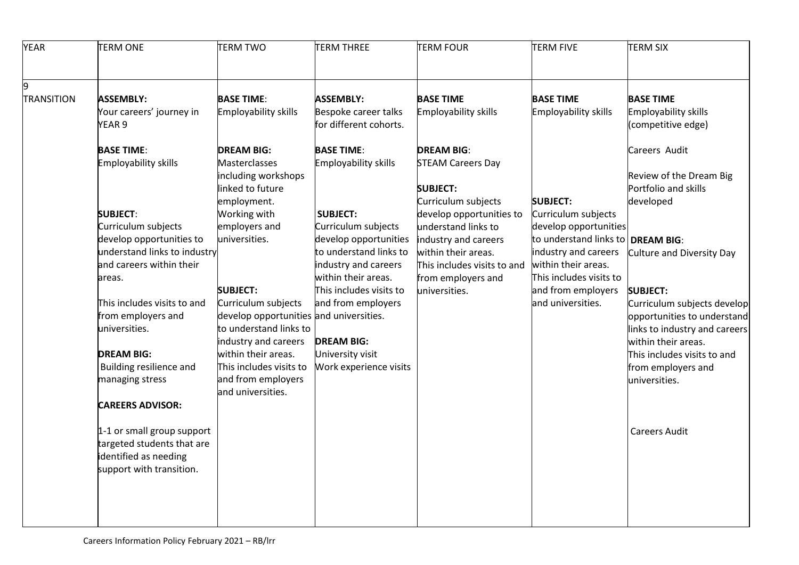| <b>YEAR</b>       | <b>TERM ONE</b>                                                                 | <b>TERM TWO</b>                                                                                                  | <b>TERM THREE</b>                                                                                | <b>TERM FOUR</b>                                                                          | <b>TERM FIVE</b>                                                                             | <b>TERM SIX</b>                                                                                                    |
|-------------------|---------------------------------------------------------------------------------|------------------------------------------------------------------------------------------------------------------|--------------------------------------------------------------------------------------------------|-------------------------------------------------------------------------------------------|----------------------------------------------------------------------------------------------|--------------------------------------------------------------------------------------------------------------------|
| <b>TRANSITION</b> | <b>ASSEMBLY:</b><br>Your careers' journey in                                    | <b>BASE TIME:</b><br><b>Employability skills</b>                                                                 | <b>ASSEMBLY:</b><br>Bespoke career talks                                                         | <b>BASE TIME</b><br><b>Employability skills</b>                                           | <b>BASE TIME</b><br>Employability skills                                                     | <b>BASE TIME</b><br>Employability skills                                                                           |
|                   | YEAR <sub>9</sub><br><b>BASE TIME:</b>                                          | <b>DREAM BIG:</b>                                                                                                | for different cohorts.<br><b>BASE TIME:</b>                                                      | <b>DREAM BIG:</b>                                                                         |                                                                                              | (competitive edge)<br>Careers Audit                                                                                |
|                   | Employability skills                                                            | Masterclasses<br>including workshops<br>linked to future<br>employment.                                          | <b>Employability skills</b>                                                                      | <b>STEAM Careers Day</b><br><b>SUBJECT:</b><br>Curriculum subjects                        | <b>SUBJECT:</b>                                                                              | Review of the Dream Big<br>Portfolio and skills<br>developed                                                       |
|                   | <b>SUBJECT:</b><br>Curriculum subjects<br>develop opportunities to              | Working with<br>employers and<br>universities.                                                                   | <b>SUBJECT:</b><br>Curriculum subjects<br>develop opportunities                                  | develop opportunities to<br>understand links to<br>industry and careers                   | Curriculum subjects<br>develop opportunities<br>to understand links to   DREAM BIG:          |                                                                                                                    |
|                   | understand links to industry<br>and careers within their<br>areas.              | <b>SUBJECT:</b>                                                                                                  | to understand links to<br>industry and careers<br>within their areas.<br>This includes visits to | within their areas.<br>This includes visits to and<br>from employers and<br>universities. | industry and careers<br>within their areas.<br>This includes visits to<br>and from employers | Culture and Diversity Day<br><b>SUBJECT:</b>                                                                       |
|                   | This includes visits to and<br>from employers and<br>universities.              | Curriculum subjects<br>develop opportunities and universities.<br>to understand links to<br>industry and careers | and from employers<br><b>DREAM BIG:</b>                                                          |                                                                                           | and universities.                                                                            | Curriculum subjects develop<br>opportunities to understand<br>links to industry and careers<br>within their areas. |
|                   | <b>DREAM BIG:</b><br>Building resilience and<br>managing stress                 | within their areas.<br>This includes visits to<br>and from employers<br>and universities.                        | University visit<br>Work experience visits                                                       |                                                                                           |                                                                                              | This includes visits to and<br>from employers and<br>universities.                                                 |
|                   | <b>CAREERS ADVISOR:</b><br>1-1 or small group support                           |                                                                                                                  |                                                                                                  |                                                                                           |                                                                                              | <b>Careers Audit</b>                                                                                               |
|                   | targeted students that are<br>identified as needing<br>support with transition. |                                                                                                                  |                                                                                                  |                                                                                           |                                                                                              |                                                                                                                    |
|                   |                                                                                 |                                                                                                                  |                                                                                                  |                                                                                           |                                                                                              |                                                                                                                    |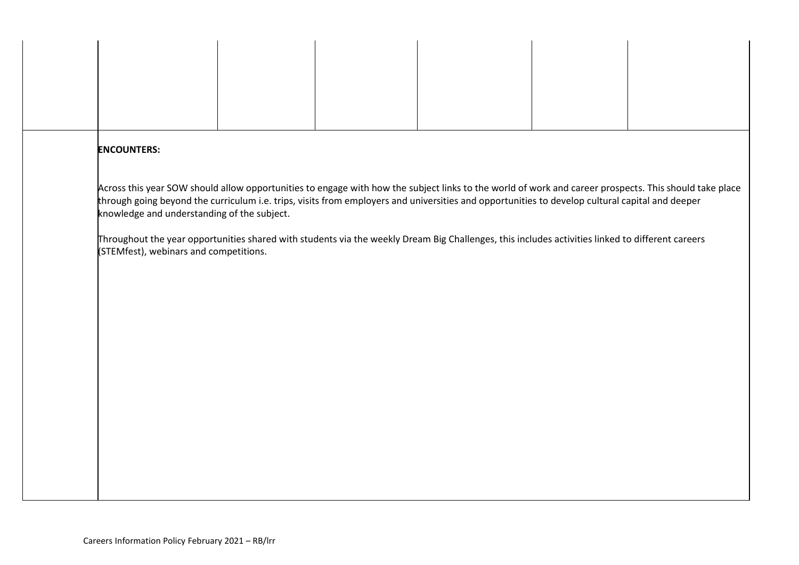| <b>ENCOUNTERS:</b>                                                                                                                                                                                                                                                                                                                                                                                                                                                                                                                                     |  |  |  |
|--------------------------------------------------------------------------------------------------------------------------------------------------------------------------------------------------------------------------------------------------------------------------------------------------------------------------------------------------------------------------------------------------------------------------------------------------------------------------------------------------------------------------------------------------------|--|--|--|
| Across this year SOW should allow opportunities to engage with how the subject links to the world of work and career prospects. This should take place<br>through going beyond the curriculum i.e. trips, visits from employers and universities and opportunities to develop cultural capital and deeper<br>knowledge and understanding of the subject.<br>Throughout the year opportunities shared with students via the weekly Dream Big Challenges, this includes activities linked to different careers<br>(STEMfest), webinars and competitions. |  |  |  |
|                                                                                                                                                                                                                                                                                                                                                                                                                                                                                                                                                        |  |  |  |
|                                                                                                                                                                                                                                                                                                                                                                                                                                                                                                                                                        |  |  |  |
|                                                                                                                                                                                                                                                                                                                                                                                                                                                                                                                                                        |  |  |  |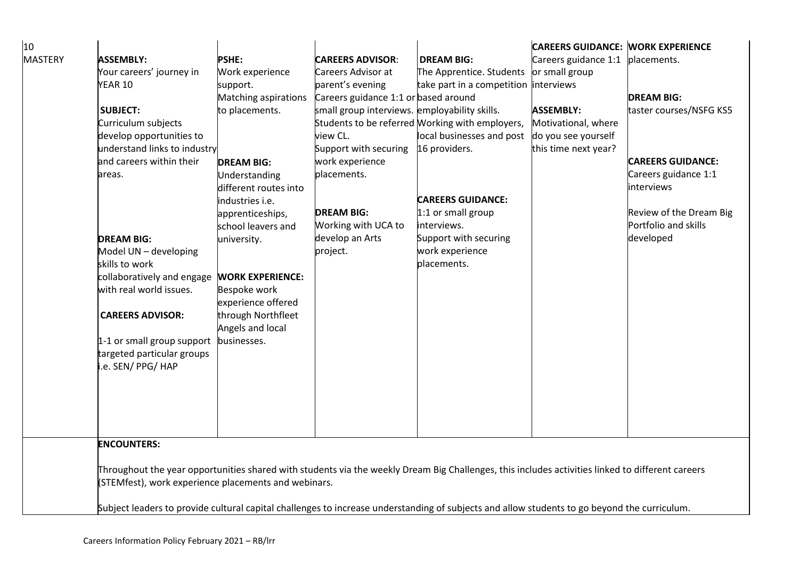| 10             |                                                                                                                                              |                                                                                                                                                  |                                               |                                                 | <b>CAREERS GUIDANCE: WORK EXPERIENCE</b> |                          |  |  |  |
|----------------|----------------------------------------------------------------------------------------------------------------------------------------------|--------------------------------------------------------------------------------------------------------------------------------------------------|-----------------------------------------------|-------------------------------------------------|------------------------------------------|--------------------------|--|--|--|
| <b>MASTERY</b> | <b>ASSEMBLY:</b>                                                                                                                             | <b>PSHE:</b>                                                                                                                                     | <b>CAREERS ADVISOR:</b>                       | <b>DREAM BIG:</b>                               | Careers guidance 1:1 placements.         |                          |  |  |  |
|                | Your careers' journey in                                                                                                                     | Work experience                                                                                                                                  | Careers Advisor at                            | The Apprentice. Students                        | or small group                           |                          |  |  |  |
|                | <b>YEAR 10</b>                                                                                                                               | support.                                                                                                                                         | parent's evening                              | take part in a competition interviews           |                                          |                          |  |  |  |
|                |                                                                                                                                              | Matching aspirations                                                                                                                             | Careers guidance 1:1 or based around          |                                                 |                                          | <b>DREAM BIG:</b>        |  |  |  |
|                | <b>SUBJECT:</b>                                                                                                                              | to placements.                                                                                                                                   | small group interviews. employability skills. |                                                 | <b>ASSEMBLY:</b>                         | taster courses/NSFG KS5  |  |  |  |
|                | Curriculum subjects                                                                                                                          |                                                                                                                                                  |                                               | Students to be referred Working with employers, | Motivational, where                      |                          |  |  |  |
|                | develop opportunities to                                                                                                                     |                                                                                                                                                  | view CL.                                      | local businesses and post                       | do you see yourself                      |                          |  |  |  |
|                | understand links to industry                                                                                                                 |                                                                                                                                                  | Support with securing                         | 16 providers.                                   | this time next year?                     |                          |  |  |  |
|                | and careers within their                                                                                                                     | <b>DREAM BIG:</b>                                                                                                                                | work experience                               |                                                 |                                          | <b>CAREERS GUIDANCE:</b> |  |  |  |
|                | areas.                                                                                                                                       | Understanding                                                                                                                                    | placements.                                   |                                                 |                                          | Careers guidance 1:1     |  |  |  |
|                |                                                                                                                                              | different routes into                                                                                                                            |                                               |                                                 |                                          | interviews               |  |  |  |
|                |                                                                                                                                              | industries i.e.                                                                                                                                  |                                               | <b>CAREERS GUIDANCE:</b>                        |                                          |                          |  |  |  |
|                |                                                                                                                                              | apprenticeships,                                                                                                                                 | <b>DREAM BIG:</b>                             | 1:1 or small group                              |                                          | Review of the Dream Big  |  |  |  |
|                |                                                                                                                                              | school leavers and                                                                                                                               | Working with UCA to                           | interviews.                                     |                                          | Portfolio and skills     |  |  |  |
|                | <b>DREAM BIG:</b>                                                                                                                            | university.                                                                                                                                      | develop an Arts                               | Support with securing                           |                                          | developed                |  |  |  |
|                | Model UN - developing                                                                                                                        |                                                                                                                                                  | project.                                      | work experience                                 |                                          |                          |  |  |  |
|                | skills to work                                                                                                                               |                                                                                                                                                  |                                               | placements.                                     |                                          |                          |  |  |  |
|                | collaboratively and engage                                                                                                                   | <b>WORK EXPERIENCE:</b>                                                                                                                          |                                               |                                                 |                                          |                          |  |  |  |
|                | with real world issues.                                                                                                                      | Bespoke work                                                                                                                                     |                                               |                                                 |                                          |                          |  |  |  |
|                |                                                                                                                                              | experience offered                                                                                                                               |                                               |                                                 |                                          |                          |  |  |  |
|                | <b>CAREERS ADVISOR:</b>                                                                                                                      | through Northfleet                                                                                                                               |                                               |                                                 |                                          |                          |  |  |  |
|                |                                                                                                                                              | Angels and local                                                                                                                                 |                                               |                                                 |                                          |                          |  |  |  |
|                | 1-1 or small group support                                                                                                                   | businesses.                                                                                                                                      |                                               |                                                 |                                          |                          |  |  |  |
|                | targeted particular groups                                                                                                                   |                                                                                                                                                  |                                               |                                                 |                                          |                          |  |  |  |
|                | .e. SEN/ PPG/ HAP                                                                                                                            |                                                                                                                                                  |                                               |                                                 |                                          |                          |  |  |  |
|                |                                                                                                                                              |                                                                                                                                                  |                                               |                                                 |                                          |                          |  |  |  |
|                |                                                                                                                                              |                                                                                                                                                  |                                               |                                                 |                                          |                          |  |  |  |
|                |                                                                                                                                              |                                                                                                                                                  |                                               |                                                 |                                          |                          |  |  |  |
|                |                                                                                                                                              |                                                                                                                                                  |                                               |                                                 |                                          |                          |  |  |  |
|                |                                                                                                                                              |                                                                                                                                                  |                                               |                                                 |                                          |                          |  |  |  |
|                | <b>ENCOUNTERS:</b>                                                                                                                           |                                                                                                                                                  |                                               |                                                 |                                          |                          |  |  |  |
|                |                                                                                                                                              |                                                                                                                                                  |                                               |                                                 |                                          |                          |  |  |  |
|                |                                                                                                                                              | Throughout the year opportunities shared with students via the weekly Dream Big Challenges, this includes activities linked to different careers |                                               |                                                 |                                          |                          |  |  |  |
|                |                                                                                                                                              | (STEMfest), work experience placements and webinars.                                                                                             |                                               |                                                 |                                          |                          |  |  |  |
|                | Subject leaders to provide cultural capital challenges to increase understanding of subjects and allow students to go beyond the curriculum. |                                                                                                                                                  |                                               |                                                 |                                          |                          |  |  |  |
|                |                                                                                                                                              |                                                                                                                                                  |                                               |                                                 |                                          |                          |  |  |  |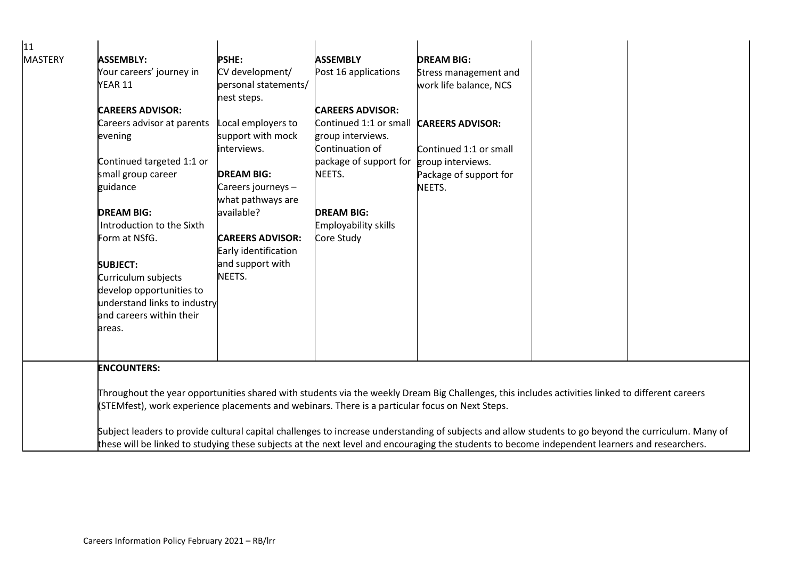| 11             |                                                                                                                                                      |                                                                                                                                                  |                             |                         |  |  |  |  |  |
|----------------|------------------------------------------------------------------------------------------------------------------------------------------------------|--------------------------------------------------------------------------------------------------------------------------------------------------|-----------------------------|-------------------------|--|--|--|--|--|
| <b>MASTERY</b> | <b>ASSEMBLY:</b>                                                                                                                                     | <b>PSHE:</b>                                                                                                                                     | <b>ASSEMBLY</b>             | <b>DREAM BIG:</b>       |  |  |  |  |  |
|                | Your careers' journey in                                                                                                                             | CV development/                                                                                                                                  | Post 16 applications        | Stress management and   |  |  |  |  |  |
|                | YEAR 11                                                                                                                                              | personal statements/                                                                                                                             |                             | work life balance, NCS  |  |  |  |  |  |
|                |                                                                                                                                                      | nest steps.                                                                                                                                      |                             |                         |  |  |  |  |  |
|                | <b>CAREERS ADVISOR:</b>                                                                                                                              |                                                                                                                                                  | <b>CAREERS ADVISOR:</b>     |                         |  |  |  |  |  |
|                | Careers advisor at parents                                                                                                                           | Local employers to                                                                                                                               | Continued 1:1 or small      | <b>CAREERS ADVISOR:</b> |  |  |  |  |  |
|                | evening                                                                                                                                              | support with mock                                                                                                                                | group interviews.           |                         |  |  |  |  |  |
|                |                                                                                                                                                      | interviews.                                                                                                                                      | Continuation of             | Continued 1:1 or small  |  |  |  |  |  |
|                | Continued targeted 1:1 or                                                                                                                            |                                                                                                                                                  | package of support for      | group interviews.       |  |  |  |  |  |
|                | small group career                                                                                                                                   | <b>DREAM BIG:</b>                                                                                                                                | NEETS.                      | Package of support for  |  |  |  |  |  |
|                | guidance                                                                                                                                             | Careers journeys -                                                                                                                               |                             | NEETS.                  |  |  |  |  |  |
|                |                                                                                                                                                      | what pathways are                                                                                                                                |                             |                         |  |  |  |  |  |
|                | <b>DREAM BIG:</b>                                                                                                                                    | available?                                                                                                                                       | <b>DREAM BIG:</b>           |                         |  |  |  |  |  |
|                | Introduction to the Sixth                                                                                                                            |                                                                                                                                                  | <b>Employability skills</b> |                         |  |  |  |  |  |
|                | Form at NSfG.                                                                                                                                        | <b>CAREERS ADVISOR:</b>                                                                                                                          | Core Study                  |                         |  |  |  |  |  |
|                |                                                                                                                                                      | Early identification                                                                                                                             |                             |                         |  |  |  |  |  |
|                | <b>SUBJECT:</b>                                                                                                                                      | and support with                                                                                                                                 |                             |                         |  |  |  |  |  |
|                | Curriculum subjects                                                                                                                                  | NEETS.                                                                                                                                           |                             |                         |  |  |  |  |  |
|                | develop opportunities to                                                                                                                             |                                                                                                                                                  |                             |                         |  |  |  |  |  |
|                | understand links to industry                                                                                                                         |                                                                                                                                                  |                             |                         |  |  |  |  |  |
|                | and careers within their                                                                                                                             |                                                                                                                                                  |                             |                         |  |  |  |  |  |
|                | areas.                                                                                                                                               |                                                                                                                                                  |                             |                         |  |  |  |  |  |
|                |                                                                                                                                                      |                                                                                                                                                  |                             |                         |  |  |  |  |  |
|                |                                                                                                                                                      |                                                                                                                                                  |                             |                         |  |  |  |  |  |
|                | <b>ENCOUNTERS:</b>                                                                                                                                   |                                                                                                                                                  |                             |                         |  |  |  |  |  |
|                |                                                                                                                                                      |                                                                                                                                                  |                             |                         |  |  |  |  |  |
|                |                                                                                                                                                      | Throughout the year opportunities shared with students via the weekly Dream Big Challenges, this includes activities linked to different careers |                             |                         |  |  |  |  |  |
|                | (STEMfest), work experience placements and webinars. There is a particular focus on Next Steps.                                                      |                                                                                                                                                  |                             |                         |  |  |  |  |  |
|                | Subject leaders to provide cultural capital challenges to increase understanding of subjects and allow students to go beyond the curriculum. Many of |                                                                                                                                                  |                             |                         |  |  |  |  |  |
|                | these will be linked to studying these subjects at the next level and encouraging the students to become independent learners and researchers.       |                                                                                                                                                  |                             |                         |  |  |  |  |  |